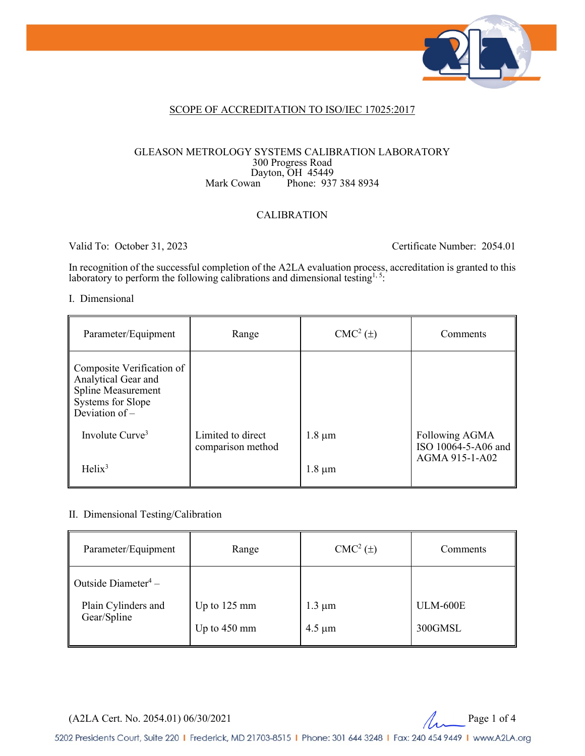

#### SCOPE OF ACCREDITATION TO ISO/IEC 17025:2017

#### GLEASON METROLOGY SYSTEMS CALIBRATION LABORATORY 300 Progress Road Dayton, OH 45449<br>Mark Cowan Phone: 937 Phone: 937 384 8934

#### CALIBRATION

Valid To: October 31, 2023 Certificate Number: 2054.01

In recognition of the successful completion of the A2LA evaluation process, accreditation is granted to this laboratory to perform the following calibrations and dimensional testing<sup>1, 5</sup>:

#### I. Dimensional

| Parameter/Equipment                                                                                                    | Range                                  | $CMC2(\pm)$ | Comments                              |
|------------------------------------------------------------------------------------------------------------------------|----------------------------------------|-------------|---------------------------------------|
| Composite Verification of<br>Analytical Gear and<br><b>Spline Measurement</b><br>Systems for Slope<br>Deviation of $-$ |                                        |             |                                       |
| Involute Curve <sup>3</sup>                                                                                            | Limited to direct<br>comparison method | $1.8 \mu m$ | Following AGMA<br>ISO 10064-5-A06 and |
| Helix <sup>3</sup>                                                                                                     |                                        | $1.8 \mu m$ | AGMA 915-1-A02                        |

#### II. Dimensional Testing/Calibration

| Parameter/Equipment                                                   | Range                                    | $CMC2(\pm)$                | Comments                   |
|-----------------------------------------------------------------------|------------------------------------------|----------------------------|----------------------------|
| Outside Diameter <sup>4</sup> –<br>Plain Cylinders and<br>Gear/Spline | Up to $125 \text{ mm}$<br>Up to $450$ mm | $1.3 \mu m$<br>$4.5 \mu m$ | <b>ULM-600E</b><br>300GMSL |

 $(A2LA$  Cert. No. 2054.01) 06/30/2021 Page 1 of 4

5202 Presidents Court, Suite 220 | Frederick, MD 21703-8515 | Phone: 301 644 3248 | Fax: 240 454 9449 | www.A2LA.org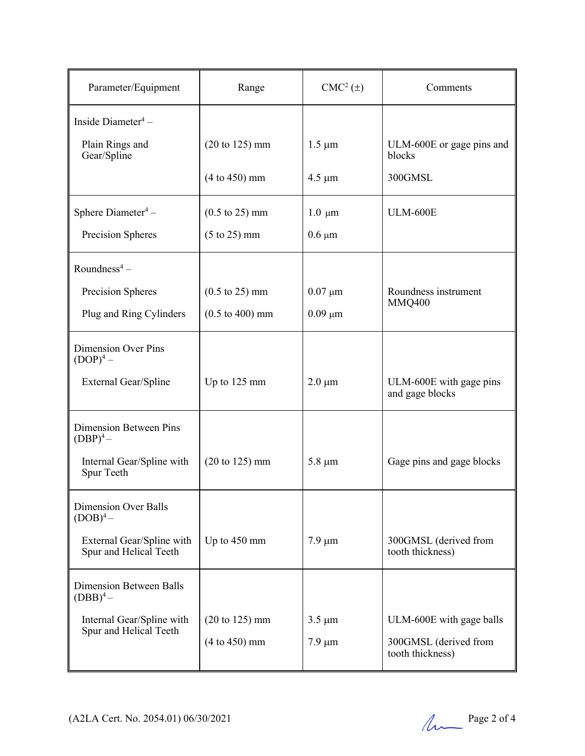| Parameter/Equipment                                 | Range                              | $CMC2(\pm)$  | Comments                                   |
|-----------------------------------------------------|------------------------------------|--------------|--------------------------------------------|
| Inside Diameter <sup>4</sup> -                      |                                    |              |                                            |
| Plain Rings and<br>Gear/Spline                      | $(20 \text{ to } 125) \text{ mm}$  | $1.5 \mu m$  | ULM-600E or gage pins and<br>blocks        |
|                                                     | $(4 to 450)$ mm                    | $4.5 \mu m$  | 300GMSL                                    |
| Sphere Diameter <sup>4</sup> –                      | $(0.5 \text{ to } 25) \text{ mm}$  | $1.0 \mu m$  | <b>ULM-600E</b>                            |
| Precision Spheres                                   | $(5 \text{ to } 25) \text{ mm}$    | $0.6 \mu m$  |                                            |
| Roundness <sup>4</sup> –                            |                                    |              |                                            |
| Precision Spheres                                   | $(0.5 \text{ to } 25) \text{ mm}$  | $0.07 \mu m$ | Roundness instrument                       |
| Plug and Ring Cylinders                             | $(0.5 \text{ to } 400) \text{ mm}$ | $0.09 \mu m$ | <b>MMQ400</b>                              |
| <b>Dimension Over Pins</b><br>$(DOP)4$ –            |                                    |              |                                            |
| External Gear/Spline                                | Up to 125 mm                       | $2.0 \mu m$  | ULM-600E with gage pins<br>and gage blocks |
| Dimension Between Pins<br>$(DBP)^4$ –               |                                    |              |                                            |
| Internal Gear/Spline with<br>Spur Teeth             | $(20 \text{ to } 125) \text{ mm}$  | $5.8 \mu m$  | Gage pins and gage blocks                  |
| <b>Dimension Over Balls</b><br>$(DOB)^4$ –          |                                    |              |                                            |
| External Gear/Spline with<br>Spur and Helical Teeth | Up to 450 mm                       | $7.9 \mu m$  | 300GMSL (derived from<br>tooth thickness)  |
| Dimension Between Balls<br>$(DBB)^4-$               |                                    |              |                                            |
| Internal Gear/Spline with<br>Spur and Helical Teeth | $(20 \text{ to } 125) \text{ mm}$  | $3.5 \mu m$  | ULM-600E with gage balls                   |
|                                                     | $(4 to 450)$ mm                    | $7.9 \mu m$  | 300GMSL (derived from<br>tooth thickness)  |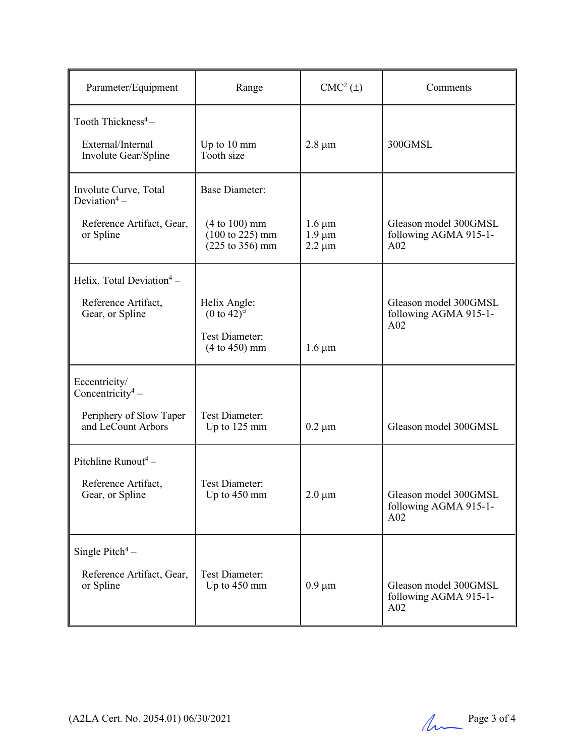| Parameter/Equipment                                                         | Range                                                                                       | $CMC2(\pm)$                               | Comments                                                          |
|-----------------------------------------------------------------------------|---------------------------------------------------------------------------------------------|-------------------------------------------|-------------------------------------------------------------------|
| Tooth Thickness <sup>4</sup> -<br>External/Internal<br>Involute Gear/Spline | Up to $10 \text{ mm}$<br>Tooth size                                                         | $2.8 \mu m$                               | 300GMSL                                                           |
| Involute Curve, Total<br>Deviation <sup>4</sup> –                           | <b>Base Diameter:</b>                                                                       |                                           |                                                                   |
| Reference Artifact, Gear,<br>or Spline                                      | $(4 to 100)$ mm<br>$(100 \text{ to } 225) \text{ mm}$<br>$(225 \text{ to } 356) \text{ mm}$ | $1.6 \mu m$<br>$1.9 \mu m$<br>$2.2 \mu m$ | Gleason model 300GMSL<br>following AGMA 915-1-<br>A <sub>02</sub> |
| Helix, Total Deviation <sup>4</sup> –                                       |                                                                                             |                                           |                                                                   |
| Reference Artifact,<br>Gear, or Spline                                      | Helix Angle:<br>$(0 \text{ to } 42)$ °<br><b>Test Diameter:</b>                             |                                           | Gleason model 300GMSL<br>following AGMA 915-1-<br>A <sub>02</sub> |
|                                                                             | $(4 to 450)$ mm                                                                             | $1.6 \mu m$                               |                                                                   |
| Eccentricity/<br>Concentricity <sup>4</sup> –                               |                                                                                             |                                           |                                                                   |
| Periphery of Slow Taper<br>and LeCount Arbors                               | <b>Test Diameter:</b><br>Up to 125 mm                                                       | $0.2 \mu m$                               | Gleason model 300GMSL                                             |
| Pitchline Runout <sup>4</sup> -                                             |                                                                                             |                                           |                                                                   |
| Reference Artifact,<br>Gear, or Spline                                      | Test Diameter:<br>Up to 450 mm                                                              | $2.0 \mu m$                               | Gleason model 300GMSL<br>following AGMA 915-1-<br>A02             |
| Single Pitch <sup>4</sup> –                                                 |                                                                                             |                                           |                                                                   |
| Reference Artifact, Gear,<br>or Spline                                      | <b>Test Diameter:</b><br>Up to 450 mm                                                       | $0.9 \mu m$                               | Gleason model 300GMSL<br>following AGMA 915-1-<br>A02             |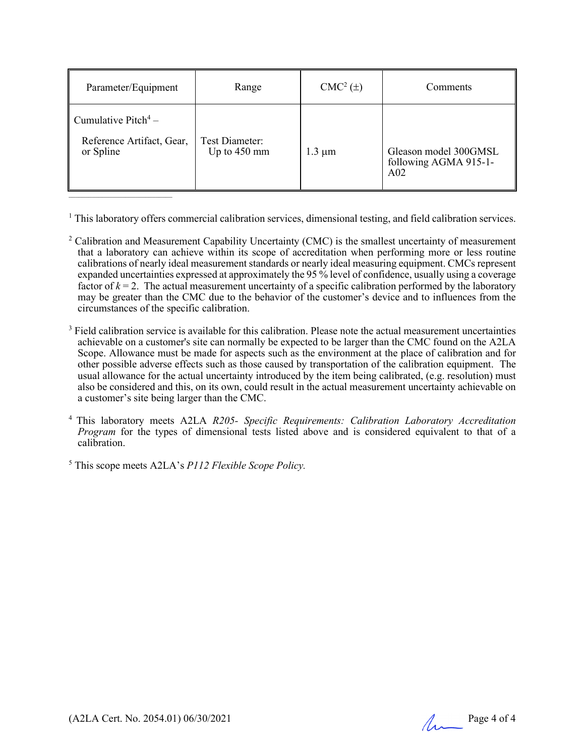| Parameter/Equipment                                                       | Range                          | $CMC2(\pm)$ | Comments                                                          |
|---------------------------------------------------------------------------|--------------------------------|-------------|-------------------------------------------------------------------|
| Cumulative Pitch <sup>4</sup> –<br>Reference Artifact, Gear,<br>or Spline | Test Diameter:<br>Up to 450 mm | $1.3 \mu m$ | Gleason model 300GMSL<br>following AGMA 915-1-<br>A <sub>02</sub> |

<sup>1</sup> This laboratory offers commercial calibration services, dimensional testing, and field calibration services.

- <sup>2</sup> Calibration and Measurement Capability Uncertainty (CMC) is the smallest uncertainty of measurement that a laboratory can achieve within its scope of accreditation when performing more or less routine calibrations of nearly ideal measurement standards or nearly ideal measuring equipment. CMCs represent expanded uncertainties expressed at approximately the 95 % level of confidence, usually using a coverage factor of  $k = 2$ . The actual measurement uncertainty of a specific calibration performed by the laboratory may be greater than the CMC due to the behavior of the customer's device and to influences from the circumstances of the specific calibration.
- <sup>3</sup> Field calibration service is available for this calibration. Please note the actual measurement uncertainties achievable on a customer's site can normally be expected to be larger than the CMC found on the A2LA Scope. Allowance must be made for aspects such as the environment at the place of calibration and for other possible adverse effects such as those caused by transportation of the calibration equipment. The usual allowance for the actual uncertainty introduced by the item being calibrated, (e.g. resolution) must also be considered and this, on its own, could result in the actual measurement uncertainty achievable on a customer's site being larger than the CMC.
- <sup>4</sup> This laboratory meets A2LA *R205- Specific Requirements: Calibration Laboratory Accreditation Program* for the types of dimensional tests listed above and is considered equivalent to that of a calibration.

<sup>5</sup> This scope meets A2LA's *P112 Flexible Scope Policy.*

 $\overline{\phantom{a}}$  , which is a set of the set of the set of the set of the set of the set of the set of the set of the set of the set of the set of the set of the set of the set of the set of the set of the set of the set of th

(A2LA Cert. No. 2054.01) 06/30/2021 Page 4 of 4